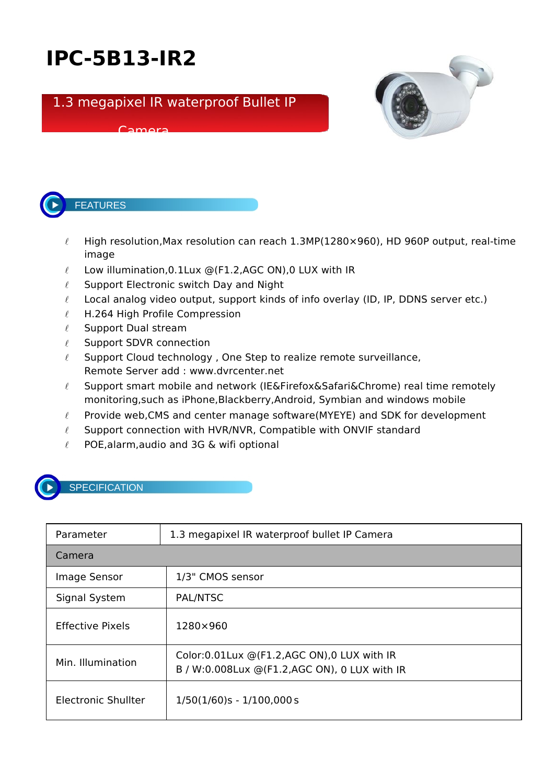## **IPC-5B13-IR2**

## 1.3 megapixel IR waterproof Bullet IP

## Camera





FEATURES

- $\ell$  High resolution, Max resolution can reach 1.3MP(1280×960), HD 960P output, real-time image
- $\ell$  Low illumination, 0.1 Lux @(F1.2, AGC ON), 0 LUX with IR
- $\ell$  Support Electronic switch Day and Night
- $\ell$  Local analog video output, support kinds of info overlay (ID, IP, DDNS server etc.)
- $\ell$  H.264 High Profile Compression
- $\ell$  Support Dual stream
- $\ell$  Support SDVR connection
- $\ell$  Support Cloud technology, One Step to realize remote surveillance, Remote Server add : www.dvrcenter.net
- $\ell$  Support smart mobile and network (IE&Firefox&Safari&Chrome) real time remotely monitoring,such as iPhone,Blackberry,Android, Symbian and windows mobile
- $\ell$  Provide web, CMS and center manage software (MYEYE) and SDK for development
- $\ell$  Support connection with HVR/NVR, Compatible with ONVIF standard
- $\ell$  POE, alarm, audio and 3G & wifi optional



## **SPECIFICATION**

| Parameter                  | 1.3 megapixel IR waterproof bullet IP Camera                                                    |  |
|----------------------------|-------------------------------------------------------------------------------------------------|--|
| Camera                     |                                                                                                 |  |
| Image Sensor               | 1/3" CMOS sensor                                                                                |  |
| Signal System              | PAL/NTSC                                                                                        |  |
| <b>Effective Pixels</b>    | 1280×960                                                                                        |  |
| Min. Illumination          | Color: 0.01 Lux @ (F1.2, AGC ON), 0 LUX with IR<br>B / W:0.008Lux @(F1.2,AGC ON), 0 LUX with IR |  |
| <b>Electronic Shullter</b> | $1/50(1/60)s - 1/100,000s$                                                                      |  |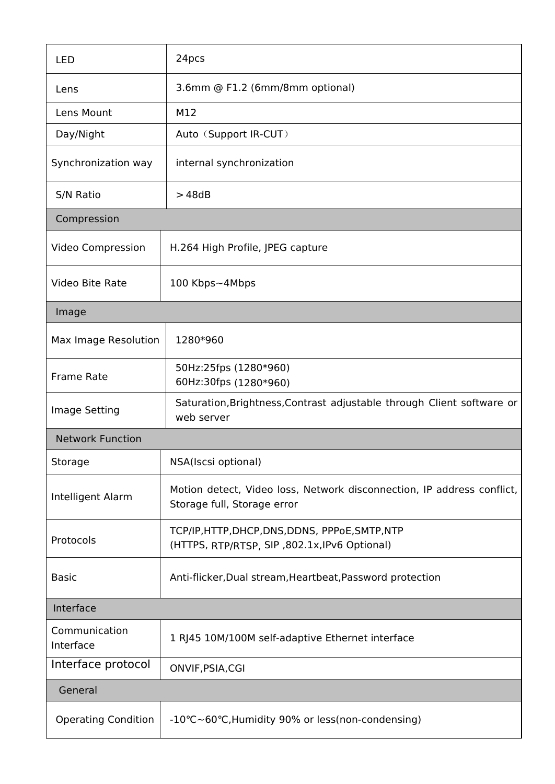|                            | 24pcs                                                                                                 |  |  |
|----------------------------|-------------------------------------------------------------------------------------------------------|--|--|
| <b>LED</b>                 |                                                                                                       |  |  |
| Lens                       | 3.6mm @ F1.2 (6mm/8mm optional)                                                                       |  |  |
| Lens Mount                 | M12                                                                                                   |  |  |
| Day/Night                  | Auto (Support IR-CUT)                                                                                 |  |  |
| Synchronization way        | internal synchronization                                                                              |  |  |
| S/N Ratio                  | >48dB                                                                                                 |  |  |
| Compression                |                                                                                                       |  |  |
| Video Compression          | H.264 High Profile, JPEG capture                                                                      |  |  |
| Video Bite Rate            | 100 Kbps~4Mbps                                                                                        |  |  |
| Image                      |                                                                                                       |  |  |
| Max Image Resolution       | 1280*960                                                                                              |  |  |
| Frame Rate                 | 50Hz:25fps (1280*960)<br>60Hz:30fps (1280*960)                                                        |  |  |
| Image Setting              | Saturation, Brightness, Contrast adjustable through Client software or<br>web server                  |  |  |
| <b>Network Function</b>    |                                                                                                       |  |  |
| Storage                    | NSA(Iscsi optional)                                                                                   |  |  |
| Intelligent Alarm          | Motion detect, Video loss, Network disconnection, IP address conflict,<br>Storage full, Storage error |  |  |
| Protocols                  | TCP/IP, HTTP, DHCP, DNS, DDNS, PPPoE, SMTP, NTP<br>(HTTPS, RTP/RTSP, SIP, 802.1x, IPv6 Optional)      |  |  |
| <b>Basic</b>               | Anti-flicker, Dual stream, Heartbeat, Password protection                                             |  |  |
| Interface                  |                                                                                                       |  |  |
| Communication<br>Interface | 1 RJ45 10M/100M self-adaptive Ethernet interface                                                      |  |  |
| Interface protocol         | ONVIF, PSIA, CGI                                                                                      |  |  |
| General                    |                                                                                                       |  |  |
| <b>Operating Condition</b> | -10°C~60°C, Humidity 90% or less (non-condensing)                                                     |  |  |